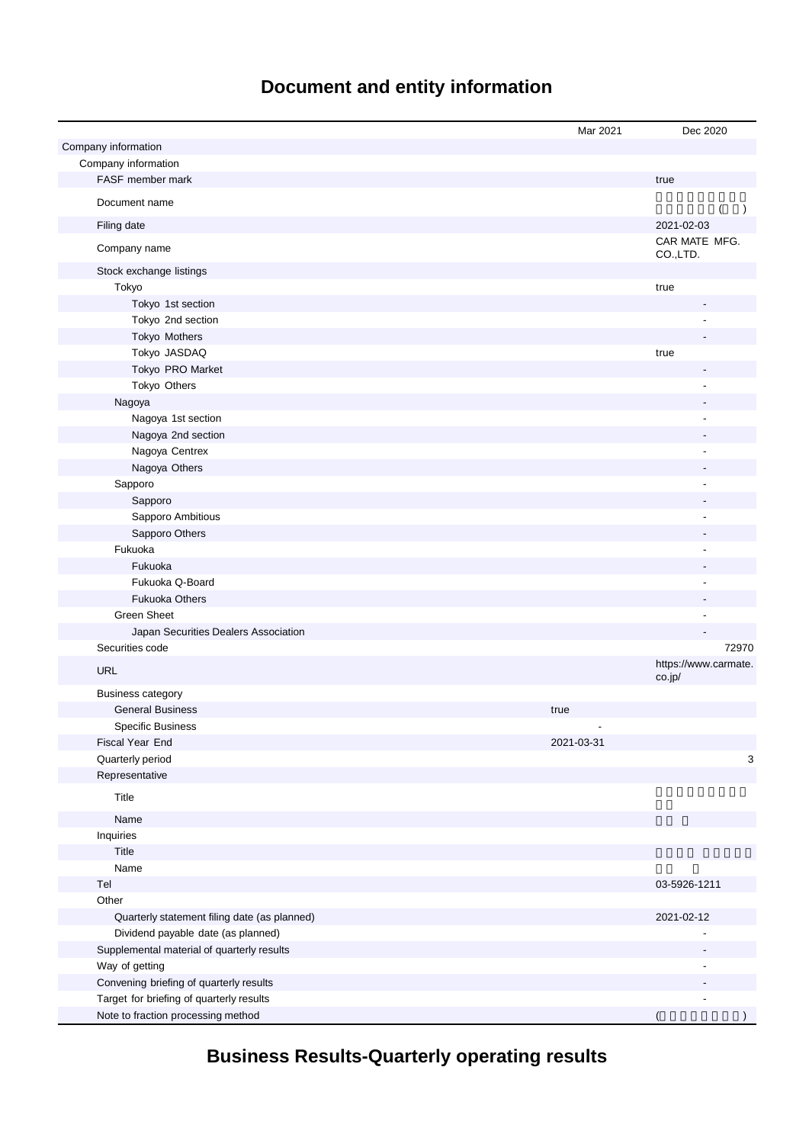# **Document and entity information**

|                                              | Mar 2021   | Dec 2020                  |
|----------------------------------------------|------------|---------------------------|
| Company information                          |            |                           |
| Company information                          |            |                           |
| FASF member mark                             |            | true                      |
| Document name                                |            | $\lambda$                 |
| Filing date                                  |            | 2021-02-03                |
| Company name                                 |            | CAR MATE MFG.<br>CO.,LTD. |
| Stock exchange listings                      |            |                           |
| Tokyo                                        |            | true                      |
| Tokyo 1st section                            |            |                           |
| Tokyo 2nd section                            |            |                           |
| Tokyo Mothers                                |            |                           |
| Tokyo JASDAQ                                 |            | true                      |
| Tokyo PRO Market                             |            |                           |
| Tokyo Others                                 |            |                           |
| Nagoya                                       |            |                           |
| Nagoya 1st section                           |            |                           |
| Nagoya 2nd section                           |            |                           |
| Nagoya Centrex                               |            |                           |
| Nagoya Others                                |            |                           |
| Sapporo                                      |            |                           |
| Sapporo                                      |            |                           |
| Sapporo Ambitious                            |            |                           |
| Sapporo Others                               |            |                           |
| Fukuoka                                      |            |                           |
| Fukuoka                                      |            |                           |
| Fukuoka Q-Board                              |            |                           |
| <b>Fukuoka Others</b>                        |            |                           |
| <b>Green Sheet</b>                           |            |                           |
| Japan Securities Dealers Association         |            |                           |
| Securities code                              |            | 72970                     |
| <b>URL</b>                                   |            | https://www.carmate.      |
|                                              |            | co.jp/                    |
| <b>Business category</b>                     |            |                           |
| <b>General Business</b>                      | true       |                           |
| <b>Specific Business</b>                     |            |                           |
| Fiscal Year End                              | 2021-03-31 |                           |
| Quarterly period                             |            | 3                         |
| Representative                               |            |                           |
| Title                                        |            |                           |
| Name                                         |            |                           |
| Inquiries                                    |            |                           |
| Title                                        |            |                           |
| Name                                         |            |                           |
| Tel                                          |            | 03-5926-1211              |
| Other                                        |            |                           |
| Quarterly statement filing date (as planned) |            | 2021-02-12                |
| Dividend payable date (as planned)           |            |                           |
| Supplemental material of quarterly results   |            |                           |
| Way of getting                               |            |                           |
| Convening briefing of quarterly results      |            |                           |
| Target for briefing of quarterly results     |            |                           |
| Note to fraction processing method           |            |                           |

**Business Results-Quarterly operating results**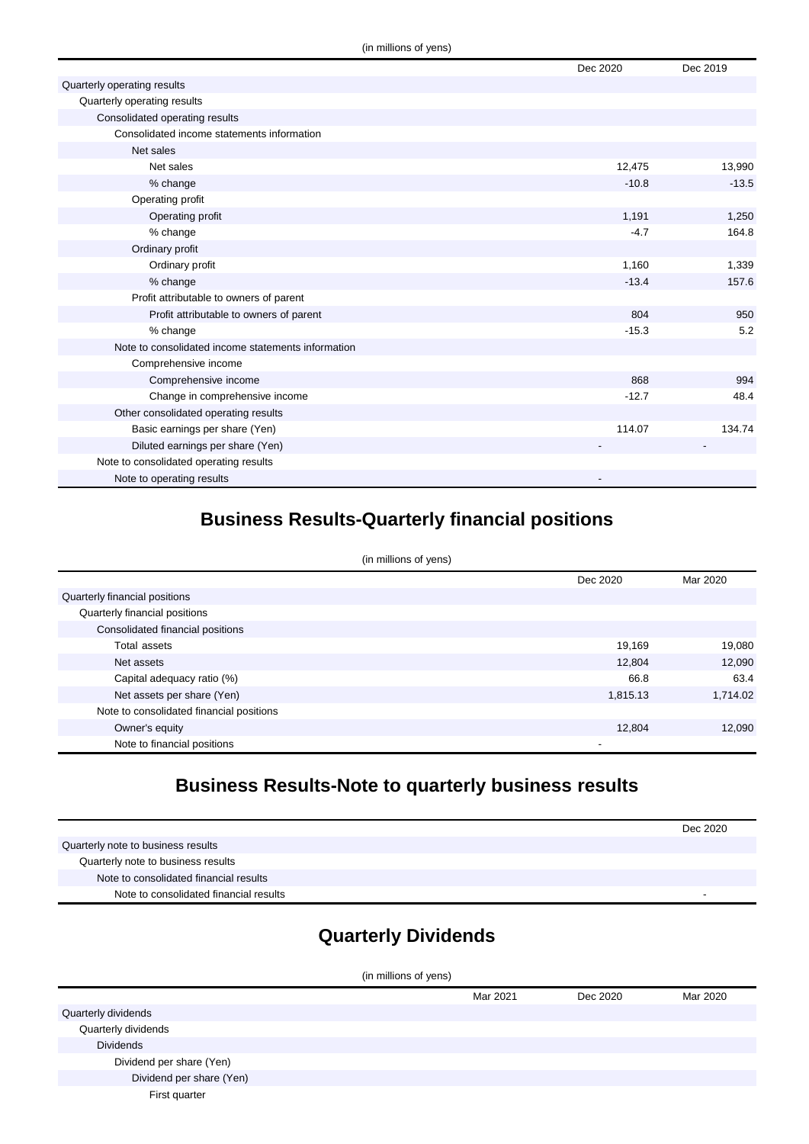|                                                    | Dec 2020 | Dec 2019 |
|----------------------------------------------------|----------|----------|
| Quarterly operating results                        |          |          |
| Quarterly operating results                        |          |          |
| Consolidated operating results                     |          |          |
| Consolidated income statements information         |          |          |
| Net sales                                          |          |          |
| Net sales                                          | 12,475   | 13,990   |
| % change                                           | $-10.8$  | $-13.5$  |
| Operating profit                                   |          |          |
| Operating profit                                   | 1,191    | 1,250    |
| % change                                           | $-4.7$   | 164.8    |
| Ordinary profit                                    |          |          |
| Ordinary profit                                    | 1,160    | 1,339    |
| % change                                           | $-13.4$  | 157.6    |
| Profit attributable to owners of parent            |          |          |
| Profit attributable to owners of parent            | 804      | 950      |
| % change                                           | $-15.3$  | 5.2      |
| Note to consolidated income statements information |          |          |
| Comprehensive income                               |          |          |
| Comprehensive income                               | 868      | 994      |
| Change in comprehensive income                     | $-12.7$  | 48.4     |
| Other consolidated operating results               |          |          |
| Basic earnings per share (Yen)                     | 114.07   | 134.74   |
| Diluted earnings per share (Yen)                   |          |          |
| Note to consolidated operating results             |          |          |
| Note to operating results                          |          |          |

### **Business Results-Quarterly financial positions**

| (in millions of yens)                    |          |          |
|------------------------------------------|----------|----------|
|                                          | Dec 2020 | Mar 2020 |
| Quarterly financial positions            |          |          |
| Quarterly financial positions            |          |          |
| Consolidated financial positions         |          |          |
| Total assets                             | 19,169   | 19,080   |
| Net assets                               | 12,804   | 12,090   |
| Capital adequacy ratio (%)               | 66.8     | 63.4     |
| Net assets per share (Yen)               | 1,815.13 | 1,714.02 |
| Note to consolidated financial positions |          |          |
| Owner's equity                           | 12,804   | 12,090   |
| Note to financial positions              |          |          |

## **Business Results-Note to quarterly business results**

|                                        | Dec 2020 |
|----------------------------------------|----------|
| Quarterly note to business results     |          |
| Quarterly note to business results     |          |
| Note to consolidated financial results |          |
| Note to consolidated financial results |          |

# **Quarterly Dividends**

| (in millions of yens)    |          |          |          |
|--------------------------|----------|----------|----------|
|                          | Mar 2021 | Dec 2020 | Mar 2020 |
| Quarterly dividends      |          |          |          |
| Quarterly dividends      |          |          |          |
| <b>Dividends</b>         |          |          |          |
| Dividend per share (Yen) |          |          |          |
| Dividend per share (Yen) |          |          |          |
| First quarter            |          |          |          |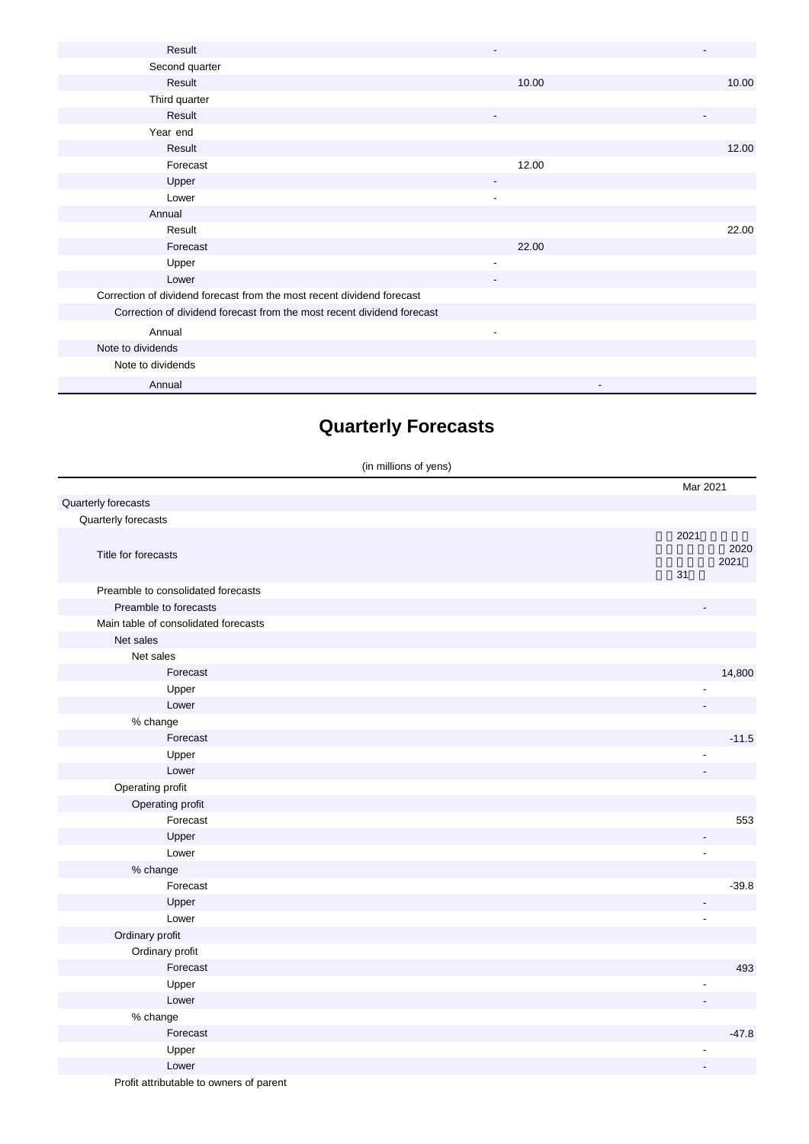| Result                                                                 |                          |       |
|------------------------------------------------------------------------|--------------------------|-------|
| Second quarter                                                         |                          |       |
| Result                                                                 | 10.00                    | 10.00 |
| Third quarter                                                          |                          |       |
| Result                                                                 | ۰                        |       |
| Year end                                                               |                          |       |
| Result                                                                 |                          | 12.00 |
| Forecast                                                               | 12.00                    |       |
| Upper                                                                  |                          |       |
| Lower                                                                  | $\blacksquare$           |       |
| Annual                                                                 |                          |       |
| Result                                                                 |                          | 22.00 |
| Forecast                                                               | 22.00                    |       |
| Upper                                                                  |                          |       |
| Lower                                                                  | ۰                        |       |
| Correction of dividend forecast from the most recent dividend forecast |                          |       |
| Correction of dividend forecast from the most recent dividend forecast |                          |       |
| Annual                                                                 | $\overline{\phantom{a}}$ |       |
| Note to dividends                                                      |                          |       |
| Note to dividends                                                      |                          |       |
| Annual                                                                 |                          |       |

## **Quarterly Forecasts**

|                                      | (in millions of yens)    |              |
|--------------------------------------|--------------------------|--------------|
|                                      | Mar 2021                 |              |
| Quarterly forecasts                  |                          |              |
| Quarterly forecasts                  |                          |              |
| Title for forecasts                  | 2021                     | 2020<br>2021 |
| Preamble to consolidated forecasts   | 31                       |              |
| Preamble to forecasts                |                          |              |
| Main table of consolidated forecasts |                          |              |
| Net sales                            |                          |              |
| Net sales                            |                          |              |
| Forecast                             |                          | 14,800       |
| Upper                                |                          |              |
| Lower                                |                          |              |
| % change                             |                          |              |
| Forecast                             |                          | $-11.5$      |
| Upper                                | $\overline{\phantom{a}}$ |              |
| Lower                                |                          |              |
| Operating profit                     |                          |              |
| Operating profit                     |                          |              |
| Forecast                             |                          | 553          |
| Upper                                | $\overline{\phantom{a}}$ |              |
| Lower                                | $\blacksquare$           |              |
| % change                             |                          |              |
| Forecast                             |                          | $-39.8$      |
| Upper                                |                          |              |
| Lower                                | ä,                       |              |
| Ordinary profit                      |                          |              |
| Ordinary profit                      |                          |              |
| Forecast                             |                          | 493          |
| Upper                                | ÷,                       |              |
| Lower                                |                          |              |
| % change                             |                          |              |
| Forecast                             |                          | $-47.8$      |
| Upper                                | $\overline{\phantom{a}}$ |              |
| Lower                                | $\overline{a}$           |              |

Profit attributable to owners of parent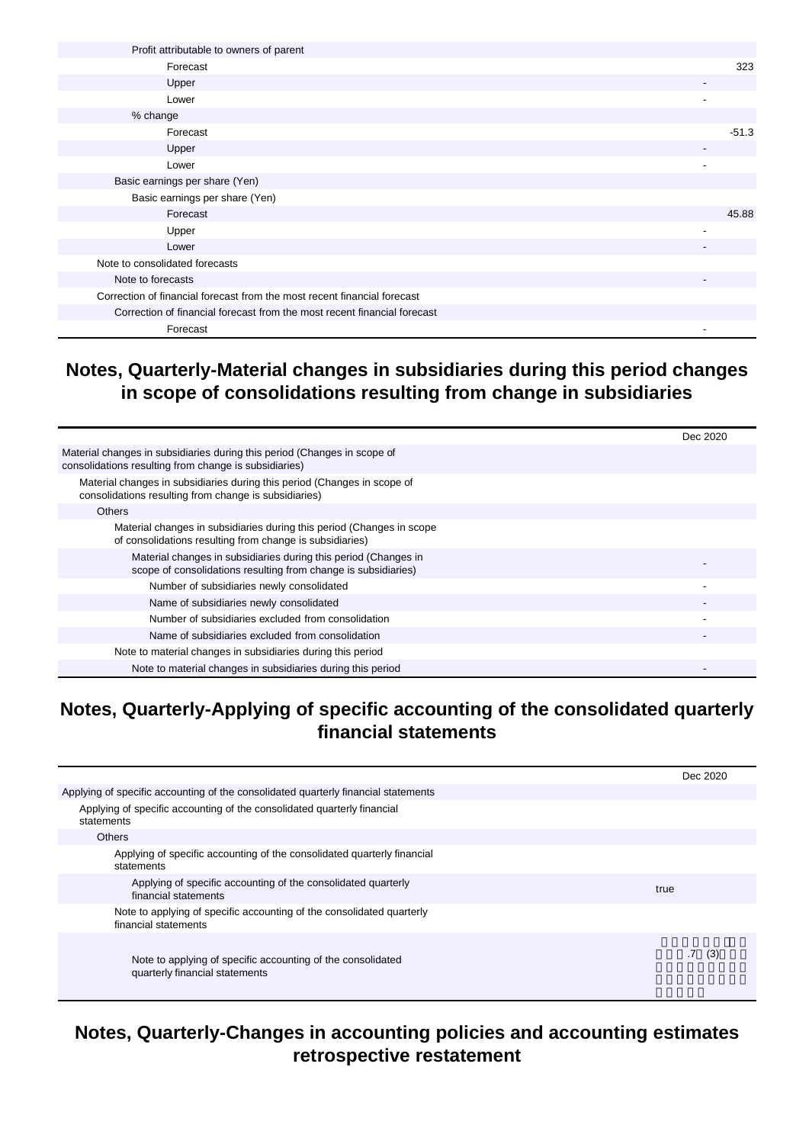| Profit attributable to owners of parent                                  |                          |
|--------------------------------------------------------------------------|--------------------------|
| Forecast                                                                 | 323                      |
| Upper                                                                    |                          |
| Lower                                                                    |                          |
| % change                                                                 |                          |
| Forecast                                                                 | $-51.3$                  |
| Upper                                                                    | $\overline{\phantom{a}}$ |
| Lower                                                                    | $\overline{\phantom{a}}$ |
| Basic earnings per share (Yen)                                           |                          |
| Basic earnings per share (Yen)                                           |                          |
| Forecast                                                                 | 45.88                    |
| Upper                                                                    |                          |
| Lower                                                                    |                          |
| Note to consolidated forecasts                                           |                          |
| Note to forecasts                                                        | $\overline{\phantom{a}}$ |
| Correction of financial forecast from the most recent financial forecast |                          |
| Correction of financial forecast from the most recent financial forecast |                          |
| Forecast                                                                 |                          |

#### **Notes, Quarterly-Material changes in subsidiaries during this period changes in scope of consolidations resulting from change in subsidiaries**

|                                                                                                                                   | Dec 2020 |
|-----------------------------------------------------------------------------------------------------------------------------------|----------|
| Material changes in subsidiaries during this period (Changes in scope of<br>consolidations resulting from change is subsidiaries) |          |
| Material changes in subsidiaries during this period (Changes in scope of<br>consolidations resulting from change is subsidiaries) |          |
| <b>Others</b>                                                                                                                     |          |
| Material changes in subsidiaries during this period (Changes in scope<br>of consolidations resulting from change is subsidiaries) |          |
| Material changes in subsidiaries during this period (Changes in<br>scope of consolidations resulting from change is subsidiaries) |          |
| Number of subsidiaries newly consolidated                                                                                         |          |
| Name of subsidiaries newly consolidated                                                                                           |          |
| Number of subsidiaries excluded from consolidation                                                                                |          |
| Name of subsidiaries excluded from consolidation                                                                                  |          |
| Note to material changes in subsidiaries during this period                                                                       |          |
| Note to material changes in subsidiaries during this period                                                                       |          |

#### **Notes, Quarterly-Applying of specific accounting of the consolidated quarterly financial statements**

|                                                                                               | Dec 2020               |
|-----------------------------------------------------------------------------------------------|------------------------|
| Applying of specific accounting of the consolidated quarterly financial statements            |                        |
| Applying of specific accounting of the consolidated quarterly financial<br>statements         |                        |
| <b>Others</b>                                                                                 |                        |
| Applying of specific accounting of the consolidated quarterly financial<br>statements         |                        |
| Applying of specific accounting of the consolidated quarterly<br>financial statements         | true                   |
| Note to applying of specific accounting of the consolidated quarterly<br>financial statements |                        |
| Note to applying of specific accounting of the consolidated<br>quarterly financial statements | $.7\phantom{0}$<br>(3) |

#### **Notes, Quarterly-Changes in accounting policies and accounting estimates retrospective restatement**